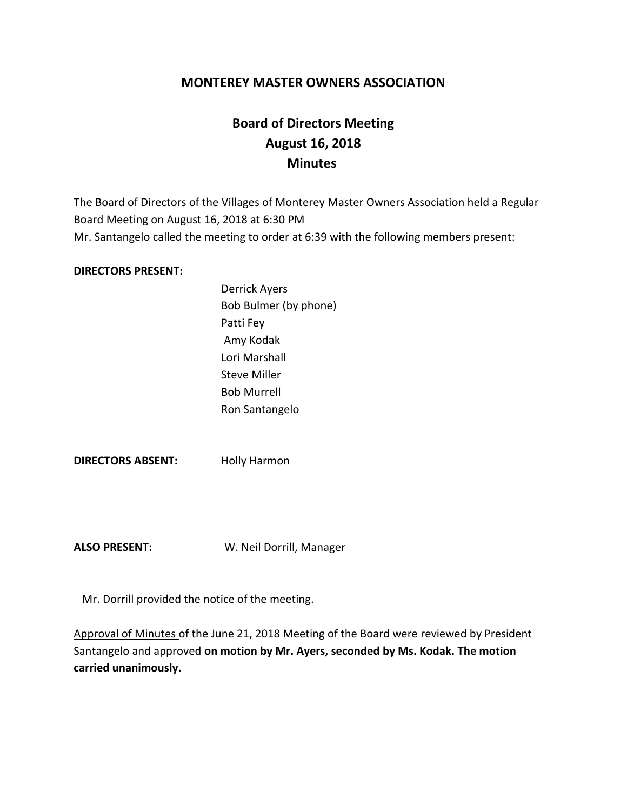## **MONTEREY MASTER OWNERS ASSOCIATION**

# **Board of Directors Meeting August 16, 2018 Minutes**

The Board of Directors of the Villages of Monterey Master Owners Association held a Regular Board Meeting on August 16, 2018 at 6:30 PM Mr. Santangelo called the meeting to order at 6:39 with the following members present:

#### **DIRECTORS PRESENT:**

Derrick Ayers Bob Bulmer (by phone) Patti Fey Amy Kodak Lori Marshall Steve Miller Bob Murrell Ron Santangelo

**DIRECTORS ABSENT:** Holly Harmon

**ALSO PRESENT:** W. Neil Dorrill, Manager

Mr. Dorrill provided the notice of the meeting.

Approval of Minutes of the June 21, 2018 Meeting of the Board were reviewed by President Santangelo and approved **on motion by Mr. Ayers, seconded by Ms. Kodak. The motion carried unanimously.**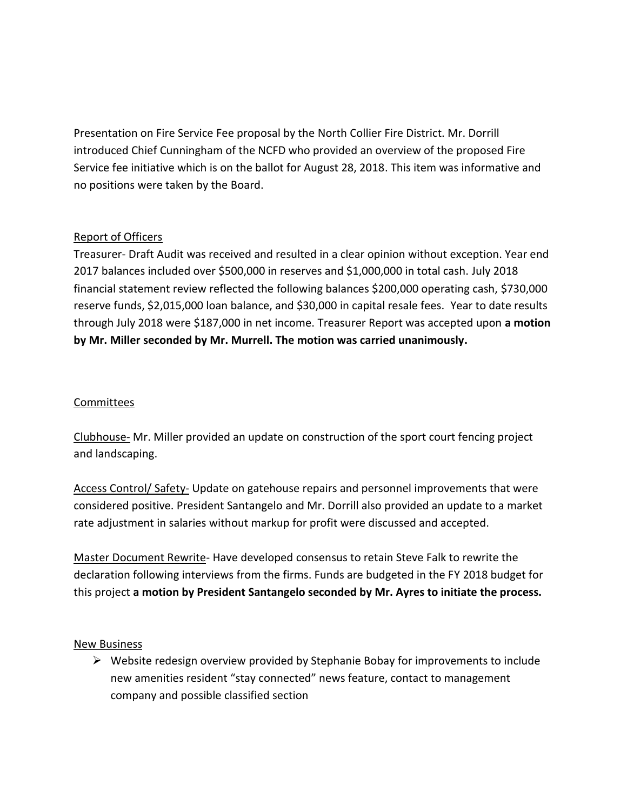Presentation on Fire Service Fee proposal by the North Collier Fire District. Mr. Dorrill introduced Chief Cunningham of the NCFD who provided an overview of the proposed Fire Service fee initiative which is on the ballot for August 28, 2018. This item was informative and no positions were taken by the Board.

## Report of Officers

Treasurer- Draft Audit was received and resulted in a clear opinion without exception. Year end 2017 balances included over \$500,000 in reserves and \$1,000,000 in total cash. July 2018 financial statement review reflected the following balances \$200,000 operating cash, \$730,000 reserve funds, \$2,015,000 loan balance, and \$30,000 in capital resale fees. Year to date results through July 2018 were \$187,000 in net income. Treasurer Report was accepted upon **a motion by Mr. Miller seconded by Mr. Murrell. The motion was carried unanimously.**

## Committees

Clubhouse- Mr. Miller provided an update on construction of the sport court fencing project and landscaping.

Access Control/ Safety- Update on gatehouse repairs and personnel improvements that were considered positive. President Santangelo and Mr. Dorrill also provided an update to a market rate adjustment in salaries without markup for profit were discussed and accepted.

Master Document Rewrite- Have developed consensus to retain Steve Falk to rewrite the declaration following interviews from the firms. Funds are budgeted in the FY 2018 budget for this project **a motion by President Santangelo seconded by Mr. Ayres to initiate the process.**

#### New Business

 $\triangleright$  Website redesign overview provided by Stephanie Bobay for improvements to include new amenities resident "stay connected" news feature, contact to management company and possible classified section